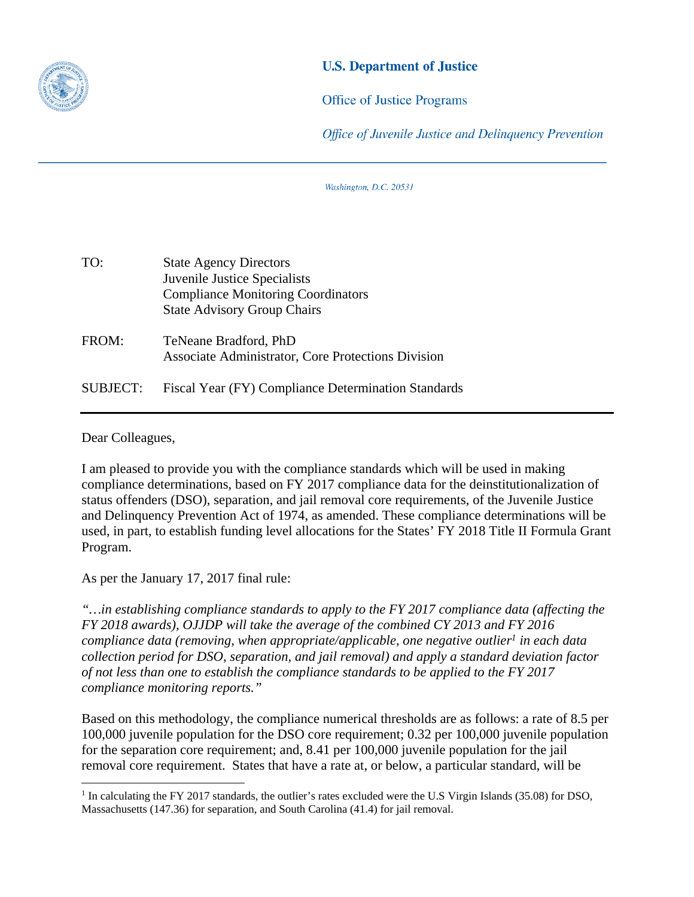

## **U.S. Department of Justice**

**Office of Justice Programs** 

Office of Juvenile Justice and Delinguency Prevention

Washington, D.C. 20531

| TO:             | <b>State Agency Directors</b><br>Juvenile Justice Specialists<br><b>Compliance Monitoring Coordinators</b><br><b>State Advisory Group Chairs</b> |
|-----------------|--------------------------------------------------------------------------------------------------------------------------------------------------|
| FROM:           | TeNeane Bradford, PhD<br>Associate Administrator, Core Protections Division                                                                      |
| <b>SUBJECT:</b> | Fiscal Year (FY) Compliance Determination Standards                                                                                              |

Dear Colleagues,

 $\overline{a}$ 

I am pleased to provide you with the compliance standards which will be used in making compliance determinations, based on FY 2017 compliance data for the deinstitutionalization of status offenders (DSO), separation, and jail removal core requirements, of the Juvenile Justice and Delinquency Prevention Act of 1974, as amended. These compliance determinations will be used, in part, to establish funding level allocations for the States' FY 2018 Title II Formula Grant Program.

As per the January 17, 2017 final rule:

*"…in establishing compliance standards to apply to the FY 2017 compliance data (affecting the FY 2018 awards), OJJDP will take the average of the combined CY 2013 and FY 2016 compliance data (removing, when appropriate/applicable, one negative outlier<sup>1</sup> in each data collection period for DSO, separation, and jail removal) and apply a standard deviation factor of not less than one to establish the compliance standards to be applied to the FY 2017 compliance monitoring reports."* 

Based on this methodology, the compliance numerical thresholds are as follows: a rate of 8.5 per 100,000 juvenile population for the DSO core requirement; 0.32 per 100,000 juvenile population for the separation core requirement; and, 8.41 per 100,000 juvenile population for the jail removal core requirement. States that have a rate at, or below, a particular standard, will be

 Massachusetts (147.36) for separation, and South Carolina (41.4) for jail removal. <sup>1</sup> In calculating the FY 2017 standards, the outlier's rates excluded were the U.S Virgin Islands (35.08) for DSO,